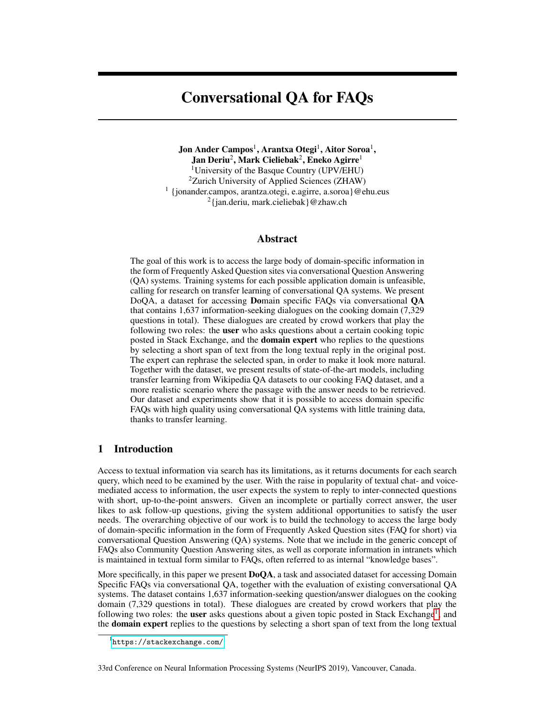# Conversational QA for FAQs

 $\rm Jon$  Ander Campos $^{\rm l}$ , Arantxa Otegi $^{\rm l}$ , Aitor Soroa $^{\rm l}$ , Jan Deriu $^2$ , Mark Cieliebak $^2$ , Eneko Agirre $^1$ <sup>1</sup>University of the Basque Country (UPV/EHU) <sup>2</sup>Zurich University of Applied Sciences (ZHAW) 1 {jonander.campos, arantza.otegi, e.agirre, a.soroa}@ehu.eus <sup>2</sup>{jan.deriu, mark.cieliebak}@zhaw.ch

## Abstract

The goal of this work is to access the large body of domain-specific information in the form of Frequently Asked Question sites via conversational Question Answering (QA) systems. Training systems for each possible application domain is unfeasible, calling for research on transfer learning of conversational QA systems. We present DoQA, a dataset for accessing Domain specific FAQs via conversational QA that contains 1,637 information-seeking dialogues on the cooking domain (7,329 questions in total). These dialogues are created by crowd workers that play the following two roles: the user who asks questions about a certain cooking topic posted in Stack Exchange, and the domain expert who replies to the questions by selecting a short span of text from the long textual reply in the original post. The expert can rephrase the selected span, in order to make it look more natural. Together with the dataset, we present results of state-of-the-art models, including transfer learning from Wikipedia QA datasets to our cooking FAQ dataset, and a more realistic scenario where the passage with the answer needs to be retrieved. Our dataset and experiments show that it is possible to access domain specific FAQs with high quality using conversational QA systems with little training data, thanks to transfer learning.

# 1 Introduction

Access to textual information via search has its limitations, as it returns documents for each search query, which need to be examined by the user. With the raise in popularity of textual chat- and voicemediated access to information, the user expects the system to reply to inter-connected questions with short, up-to-the-point answers. Given an incomplete or partially correct answer, the user likes to ask follow-up questions, giving the system additional opportunities to satisfy the user needs. The overarching objective of our work is to build the technology to access the large body of domain-specific information in the form of Frequently Asked Question sites (FAQ for short) via conversational Question Answering (QA) systems. Note that we include in the generic concept of FAQs also Community Question Answering sites, as well as corporate information in intranets which is maintained in textual form similar to FAQs, often referred to as internal "knowledge bases".

More specifically, in this paper we present **DoOA**, a task and associated dataset for accessing Domain Specific FAQs via conversational QA, together with the evaluation of existing conversational QA systems. The dataset contains 1,637 information-seeking question/answer dialogues on the cooking domain (7,329 questions in total). These dialogues are created by crowd workers that play the following two roles: the user asks questions about a given topic posted in Stack Exchange<sup>[1](#page-0-0)</sup>, and the **domain expert** replies to the questions by selecting a short span of text from the long textual

<span id="page-0-0"></span><sup>1</sup> <https://stackexchange.com/>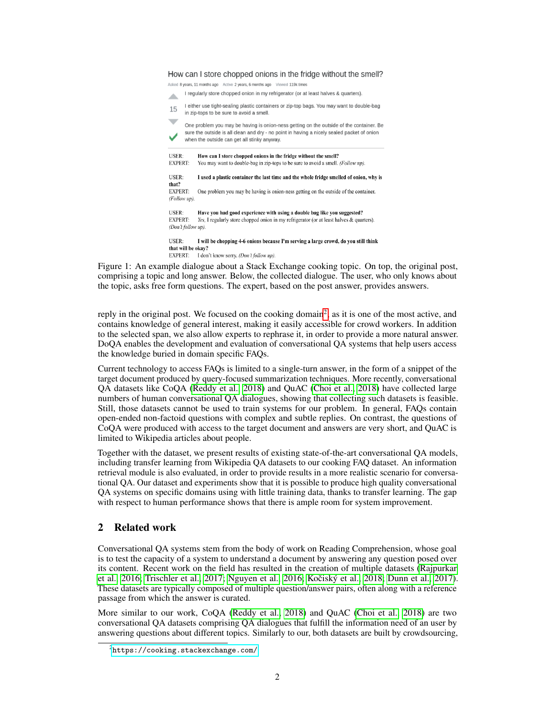#### How can I store chopped onions in the fridge without the smell?

Asked 8 years, 11 months ago Active 2 years, 6 months ago Viewed 119k times

I regularly store chopped onion in my refrigerator (or at least halves & quarters). 盀

I either use tight-sealing plastic containers or zip-top bags. You may want to double-bag 15 in zip-tops to be sure to avoid a smell.

One problem you may be having is onion-ness getting on the outside of the container. Be sure the outside is all clean and dry - no point in having a nicely sealed packet of onion when the outside can get all stinky anyway.

**USER** How can I store chopped onions in the fridge without the smell? **EXPERT:** You may want to double-bag in zip-tops to be sure to avoid a smell. (Follow up). USER: I used a plastic container the last time and the whole fridge smelled of onion, why is that? EXPERT: One problem you may be having is onion-ness getting on the outside of the container. (Follow up) USER: Have you had good experience with using a double bag like you suggested? **EXPERT:** Yes, I regularly store chopped onion in my refrigerator (or at least halves & quarters). (Don't follow up). **IISER·** I will be chopping 4-6 onions because I'm serving a large crowd, do you still think that will be okay? EXPERT: I don't know sorry. (Don't follow up).

Figure 1: An example dialogue about a Stack Exchange cooking topic. On top, the original post, comprising a topic and long answer. Below, the collected dialogue. The user, who only knows about the topic, asks free form questions. The expert, based on the post answer, provides answers.

reply in the original post. We focused on the cooking domain<sup>[2](#page-1-0)</sup>, as it is one of the most active, and contains knowledge of general interest, making it easily accessible for crowd workers. In addition to the selected span, we also allow experts to rephrase it, in order to provide a more natural answer. DoQA enables the development and evaluation of conversational QA systems that help users access the knowledge buried in domain specific FAQs.

Current technology to access FAQs is limited to a single-turn answer, in the form of a snippet of the target document produced by query-focused summarization techniques. More recently, conversational QA datasets like CoQA [\(Reddy et al., 2018\)](#page-8-0) and QuAC [\(Choi et al., 2018\)](#page-7-0) have collected large numbers of human conversational QA dialogues, showing that collecting such datasets is feasible. Still, those datasets cannot be used to train systems for our problem. In general, FAQs contain open-ended non-factoid questions with complex and subtle replies. On contrast, the questions of CoQA were produced with access to the target document and answers are very short, and QuAC is limited to Wikipedia articles about people.

Together with the dataset, we present results of existing state-of-the-art conversational QA models, including transfer learning from Wikipedia QA datasets to our cooking FAQ dataset. An information retrieval module is also evaluated, in order to provide results in a more realistic scenario for conversational QA. Our dataset and experiments show that it is possible to produce high quality conversational QA systems on specific domains using with little training data, thanks to transfer learning. The gap with respect to human performance shows that there is ample room for system improvement.

# 2 Related work

Conversational QA systems stem from the body of work on Reading Comprehension, whose goal is to test the capacity of a system to understand a document by answering any question posed over its content. Recent work on the field has resulted in the creation of multiple datasets [\(Rajpurkar](#page-8-1) [et al., 2016;](#page-8-1) [Trischler et al., 2017;](#page-8-2) [Nguyen et al., 2016;](#page-8-3) Kočiský et al., 2018; [Dunn et al., 2017\)](#page-8-5). These datasets are typically composed of multiple question/answer pairs, often along with a reference passage from which the answer is curated.

More similar to our work, CoQA [\(Reddy et al., 2018\)](#page-8-0) and QuAC [\(Choi et al., 2018\)](#page-7-0) are two conversational QA datasets comprising QA dialogues that fulfill the information need of an user by answering questions about different topics. Similarly to our, both datasets are built by crowdsourcing,

<span id="page-1-0"></span> $^{2}$ <https://cooking.stackexchange.com/>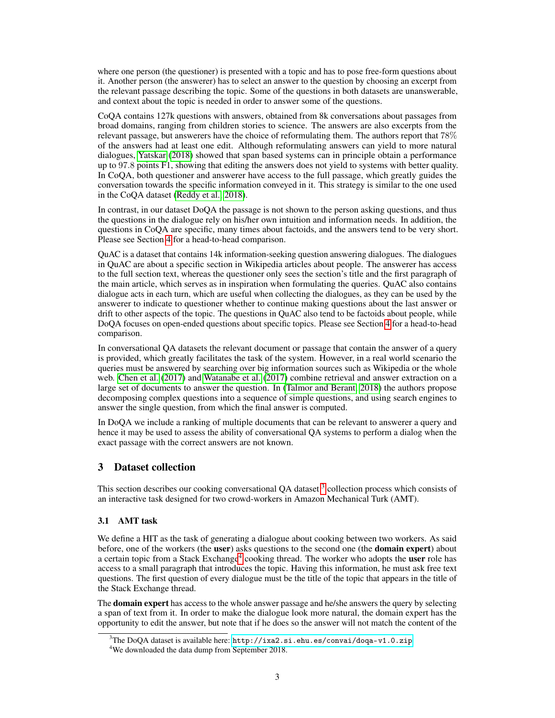where one person (the questioner) is presented with a topic and has to pose free-form questions about it. Another person (the answerer) has to select an answer to the question by choosing an excerpt from the relevant passage describing the topic. Some of the questions in both datasets are unanswerable, and context about the topic is needed in order to answer some of the questions.

CoQA contains 127k questions with answers, obtained from 8k conversations about passages from broad domains, ranging from children stories to science. The answers are also excerpts from the relevant passage, but answerers have the choice of reformulating them. The authors report that 78% of the answers had at least one edit. Although reformulating answers can yield to more natural dialogues, [Yatskar](#page-8-6) [\(2018\)](#page-8-6) showed that span based systems can in principle obtain a performance up to 97.8 points F1, showing that editing the answers does not yield to systems with better quality. In CoQA, both questioner and answerer have access to the full passage, which greatly guides the conversation towards the specific information conveyed in it. This strategy is similar to the one used in the CoQA dataset [\(Reddy et al., 2018\)](#page-8-0).

In contrast, in our dataset DoQA the passage is not shown to the person asking questions, and thus the questions in the dialogue rely on his/her own intuition and information needs. In addition, the questions in CoQA are specific, many times about factoids, and the answers tend to be very short. Please see Section [4](#page-4-0) for a head-to-head comparison.

QuAC is a dataset that contains 14k information-seeking question answering dialogues. The dialogues in QuAC are about a specific section in Wikipedia articles about people. The answerer has access to the full section text, whereas the questioner only sees the section's title and the first paragraph of the main article, which serves as in inspiration when formulating the queries. QuAC also contains dialogue acts in each turn, which are useful when collecting the dialogues, as they can be used by the answerer to indicate to questioner whether to continue making questions about the last answer or drift to other aspects of the topic. The questions in QuAC also tend to be factoids about people, while DoQA focuses on open-ended questions about specific topics. Please see Section [4](#page-4-0) for a head-to-head comparison.

In conversational QA datasets the relevant document or passage that contain the answer of a query is provided, which greatly facilitates the task of the system. However, in a real world scenario the queries must be answered by searching over big information sources such as Wikipedia or the whole web. [Chen et al.](#page-7-1) [\(2017\)](#page-7-1) and [Watanabe et al.](#page-8-7) [\(2017\)](#page-8-7) combine retrieval and answer extraction on a large set of documents to answer the question. In [\(Talmor and Berant, 2018\)](#page-8-8) the authors propose decomposing complex questions into a sequence of simple questions, and using search engines to answer the single question, from which the final answer is computed.

In DoQA we include a ranking of multiple documents that can be relevant to answerer a query and hence it may be used to assess the ability of conversational QA systems to perform a dialog when the exact passage with the correct answers are not known.

# 3 Dataset collection

This section describes our cooking conversational QA dataset <sup>[3](#page-2-0)</sup> collection process which consists of an interactive task designed for two crowd-workers in Amazon Mechanical Turk (AMT).

# 3.1 AMT task

We define a HIT as the task of generating a dialogue about cooking between two workers. As said before, one of the workers (the user) asks questions to the second one (the **domain expert**) about a certain topic from a Stack Exchange<sup>[4](#page-2-1)</sup> cooking thread. The worker who adopts the user role has access to a small paragraph that introduces the topic. Having this information, he must ask free text questions. The first question of every dialogue must be the title of the topic that appears in the title of the Stack Exchange thread.

The **domain expert** has access to the whole answer passage and he/she answers the query by selecting a span of text from it. In order to make the dialogue look more natural, the domain expert has the opportunity to edit the answer, but note that if he does so the answer will not match the content of the

<span id="page-2-0"></span> $^{3}$ The DoQA dataset is available here: <http://ixa2.si.ehu.es/convai/doqa-v1.0.zip>

<span id="page-2-1"></span><sup>4</sup>We downloaded the data dump from September 2018.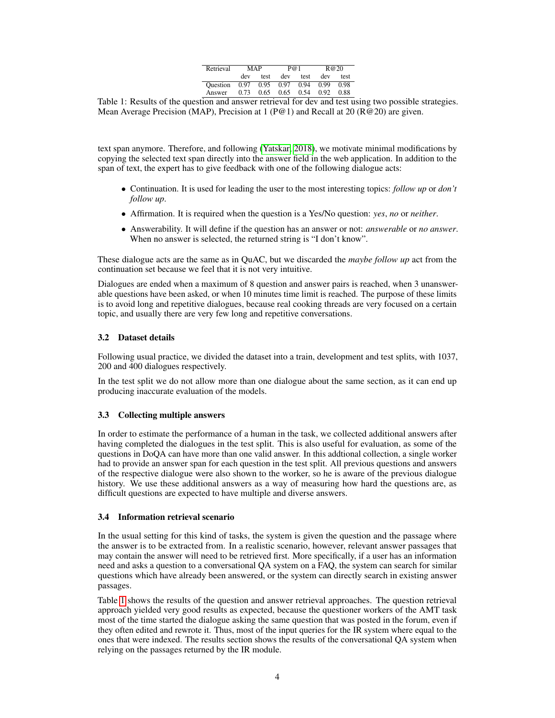| Retrieval | MAP  |      | P@1  |      | R@20 |      |  |
|-----------|------|------|------|------|------|------|--|
|           | dev  | test | dev  | test | dev  | test |  |
| Ouestion  | 0.97 | 0.95 | 0.97 | 0.94 | 0.99 | 0.98 |  |
| Answer    | 0.73 | 0.65 | 0.65 | 0.54 | 0.92 | 0.88 |  |
|           |      |      |      |      |      |      |  |

<span id="page-3-0"></span>Table 1: Results of the question and answer retrieval for dev and test using two possible strategies. Mean Average Precision (MAP), Precision at 1 (P@1) and Recall at 20 (R@20) are given.

text span anymore. Therefore, and following [\(Yatskar, 2018\)](#page-8-6), we motivate minimal modifications by copying the selected text span directly into the answer field in the web application. In addition to the span of text, the expert has to give feedback with one of the following dialogue acts:

- Continuation. It is used for leading the user to the most interesting topics: *follow up* or *don't follow up*.
- Affirmation. It is required when the question is a Yes/No question: *yes*, *no* or *neither*.
- Answerability. It will define if the question has an answer or not: *answerable* or *no answer*. When no answer is selected, the returned string is "I don't know".

These dialogue acts are the same as in QuAC, but we discarded the *maybe follow up* act from the continuation set because we feel that it is not very intuitive.

Dialogues are ended when a maximum of 8 question and answer pairs is reached, when 3 unanswerable questions have been asked, or when 10 minutes time limit is reached. The purpose of these limits is to avoid long and repetitive dialogues, because real cooking threads are very focused on a certain topic, and usually there are very few long and repetitive conversations.

#### 3.2 Dataset details

Following usual practice, we divided the dataset into a train, development and test splits, with 1037, 200 and 400 dialogues respectively.

In the test split we do not allow more than one dialogue about the same section, as it can end up producing inaccurate evaluation of the models.

#### <span id="page-3-1"></span>3.3 Collecting multiple answers

In order to estimate the performance of a human in the task, we collected additional answers after having completed the dialogues in the test split. This is also useful for evaluation, as some of the questions in DoQA can have more than one valid answer. In this addtional collection, a single worker had to provide an answer span for each question in the test split. All previous questions and answers of the respective dialogue were also shown to the worker, so he is aware of the previous dialogue history. We use these additional answers as a way of measuring how hard the questions are, as difficult questions are expected to have multiple and diverse answers.

#### 3.4 Information retrieval scenario

In the usual setting for this kind of tasks, the system is given the question and the passage where the answer is to be extracted from. In a realistic scenario, however, relevant answer passages that may contain the answer will need to be retrieved first. More specifically, if a user has an information need and asks a question to a conversational QA system on a FAQ, the system can search for similar questions which have already been answered, or the system can directly search in existing answer passages.

Table [1](#page-3-0) shows the results of the question and answer retrieval approaches. The question retrieval approach yielded very good results as expected, because the questioner workers of the AMT task most of the time started the dialogue asking the same question that was posted in the forum, even if they often edited and rewrote it. Thus, most of the input queries for the IR system where equal to the ones that were indexed. The results section shows the results of the conversational QA system when relying on the passages returned by the IR module.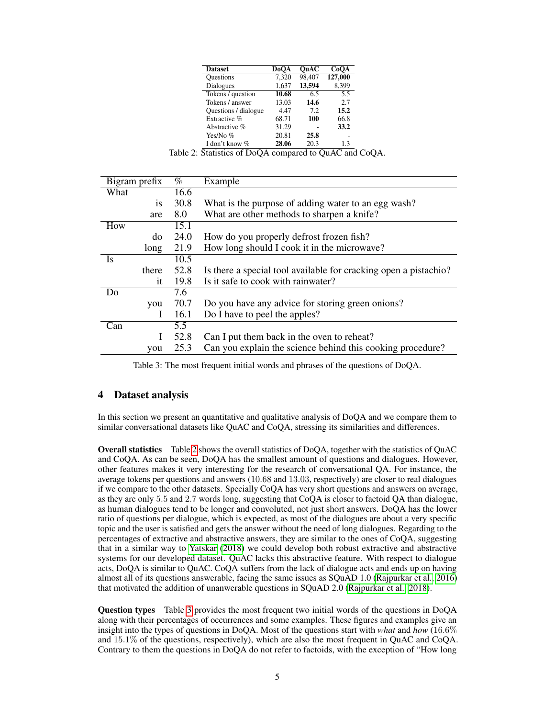| <b>Dataset</b>       | <b>DoOA</b> | OuAC   | CoOA             |
|----------------------|-------------|--------|------------------|
| Questions            | 7,320       | 98.407 | 127,000          |
| Dialogues            | 1,637       | 13,594 | 8.399            |
| Tokens / question    | 10.68       | 6.5    | $\overline{5.5}$ |
| Tokens / answer      | 13.03       | 14.6   | 2.7              |
| Questions / dialogue | 4.47        | 72     | 15.2             |
| Extractive %         | 68.71       | 100    | 66.8             |
| Abstractive %        | 31.29       |        | 33.2             |
| Yes/No%              | 20.81       | 25.8   |                  |
| I don't know %       | 28.06       | 20.3   | 13               |

<span id="page-4-1"></span>Table 2: Statistics of DoQA compared to QuAC and CoQA.

|      | Bigram prefix | $\%$              | Example                                                          |
|------|---------------|-------------------|------------------------------------------------------------------|
| What |               | 16.6              |                                                                  |
|      | <i>is</i>     | 30.8              | What is the purpose of adding water to an egg wash?              |
|      | are           | 8.0               | What are other methods to sharpen a knife?                       |
| How  |               | $\overline{15.1}$ |                                                                  |
|      | do            | 24.0              | How do you properly defrost frozen fish?                         |
|      | long          | 21.9              | How long should I cook it in the microwave?                      |
| Is   |               | 10.5              |                                                                  |
|      | there         | 52.8              | Is there a special tool available for cracking open a pistachio? |
|      | it            | 19.8              | Is it safe to cook with rainwater?                               |
| Do   |               | 7.6               |                                                                  |
|      | you           | 70.7              | Do you have any advice for storing green onions?                 |
|      | Ι             | 16.1              | Do I have to peel the apples?                                    |
| Can  |               | 5.5               |                                                                  |
|      |               | 52.8              | Can I put them back in the oven to reheat?                       |
|      | you           | 25.3              | Can you explain the science behind this cooking procedure?       |

<span id="page-4-2"></span>Table 3: The most frequent initial words and phrases of the questions of DoQA.

## <span id="page-4-0"></span>4 Dataset analysis

In this section we present an quantitative and qualitative analysis of DoQA and we compare them to similar conversational datasets like QuAC and CoQA, stressing its similarities and differences.

Overall statistics Table [2](#page-4-1) shows the overall statistics of DoQA, together with the statistics of QuAC and CoQA. As can be seen, DoQA has the smallest amount of questions and dialogues. However, other features makes it very interesting for the research of conversational QA. For instance, the average tokens per questions and answers (10.68 and 13.03, respectively) are closer to real dialogues if we compare to the other datasets. Specially CoQA has very short questions and answers on average, as they are only 5.5 and 2.7 words long, suggesting that CoQA is closer to factoid QA than dialogue, as human dialogues tend to be longer and convoluted, not just short answers. DoQA has the lower ratio of questions per dialogue, which is expected, as most of the dialogues are about a very specific topic and the user is satisfied and gets the answer without the need of long dialogues. Regarding to the percentages of extractive and abstractive answers, they are similar to the ones of CoQA, suggesting that in a similar way to [Yatskar](#page-8-6) [\(2018\)](#page-8-6) we could develop both robust extractive and abstractive systems for our developed dataset. QuAC lacks this abstractive feature. With respect to dialogue acts, DoQA is similar to QuAC. CoQA suffers from the lack of dialogue acts and ends up on having almost all of its questions answerable, facing the same issues as SQuAD 1.0 [\(Rajpurkar et al., 2016\)](#page-8-1) that motivated the addition of unanwerable questions in SQuAD 2.0 [\(Rajpurkar et al., 2018\)](#page-8-9).

Question types Table [3](#page-4-2) provides the most frequent two initial words of the questions in DoQA along with their percentages of occurrences and some examples. These figures and examples give an insight into the types of questions in DoQA. Most of the questions start with *what* and *how* (16.6% and  $15.1\%$  of the questions, respectively), which are also the most frequent in QuAC and CoQA. Contrary to them the questions in DoQA do not refer to factoids, with the exception of "How long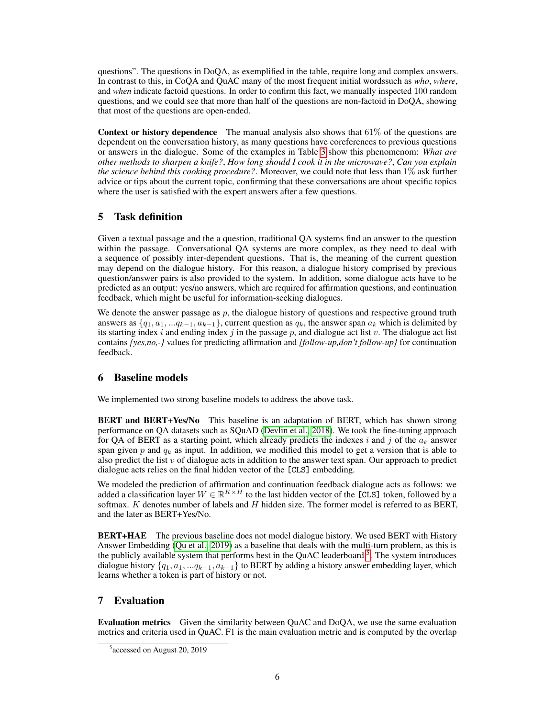questions". The questions in DoQA, as exemplified in the table, require long and complex answers. In contrast to this, in CoQA and QuAC many of the most frequent initial wordssuch as *who*, *where*, and *when* indicate factoid questions. In order to confirm this fact, we manually inspected 100 random questions, and we could see that more than half of the questions are non-factoid in DoQA, showing that most of the questions are open-ended.

**Context or history dependence** The manual analysis also shows that  $61\%$  of the questions are dependent on the conversation history, as many questions have coreferences to previous questions or answers in the dialogue. Some of the examples in Table [3](#page-4-2) show this phenomenom: *What are other methods to sharpen a knife?*, *How long should I cook it in the microwave?*, *Can you explain the science behind this cooking procedure?*. Moreover, we could note that less than 1% ask further advice or tips about the current topic, confirming that these conversations are about specific topics where the user is satisfied with the expert answers after a few questions.

# 5 Task definition

Given a textual passage and the a question, traditional QA systems find an answer to the question within the passage. Conversational QA systems are more complex, as they need to deal with a sequence of possibly inter-dependent questions. That is, the meaning of the current question may depend on the dialogue history. For this reason, a dialogue history comprised by previous question/answer pairs is also provided to the system. In addition, some dialogue acts have to be predicted as an output: yes/no answers, which are required for affirmation questions, and continuation feedback, which might be useful for information-seeking dialogues.

We denote the answer passage as  $p$ , the dialogue history of questions and respective ground truth answers as  $\{q_1, a_1, \ldots q_{k-1}, a_{k-1}\}$ , current question as  $q_k$ , the answer span  $a_k$  which is delimited by its starting index i and ending index j in the passage p, and dialogue act list v. The dialogue act list contains *{yes,no,-}* values for predicting affirmation and *{follow-up,don't follow-up}* for continuation feedback.

# 6 Baseline models

We implemented two strong baseline models to address the above task.

BERT and BERT+Yes/No This baseline is an adaptation of BERT, which has shown strong performance on QA datasets such as SQuAD [\(Devlin et al., 2018\)](#page-8-10). We took the fine-tuning approach for OA of BERT as a starting point, which already predicts the indexes i and j of the  $a_k$  answer span given p and  $q_k$  as input. In addition, we modified this model to get a version that is able to also predict the list  $v$  of dialogue acts in addition to the answer text span. Our approach to predict dialogue acts relies on the final hidden vector of the [CLS] embedding.

We modeled the prediction of affirmation and continuation feedback dialogue acts as follows: we added a classification layer  $W \in \mathbb{R}^{K \times H}$  to the last hidden vector of the [CLS] token, followed by a softmax.  $K$  denotes number of labels and  $H$  hidden size. The former model is referred to as BERT, and the later as BERT+Yes/No.

BERT+HAE The previous baseline does not model dialogue history. We used BERT with History Answer Embedding [\(Qu et al., 2019\)](#page-8-11) as a baseline that deals with the multi-turn problem, as this is the publicly available system that performs best in the QuAC leaderboard <sup>[5](#page-5-0)</sup>. The system introduces dialogue history  $\{q_1, a_1, \ldots q_{k-1}, a_{k-1}\}\$  to BERT by adding a history answer embedding layer, which learns whether a token is part of history or not.

# 7 Evaluation

Evaluation metrics Given the similarity between QuAC and DoQA, we use the same evaluation metrics and criteria used in QuAC. F1 is the main evaluation metric and is computed by the overlap

<span id="page-5-0"></span><sup>5</sup> accessed on August 20, 2019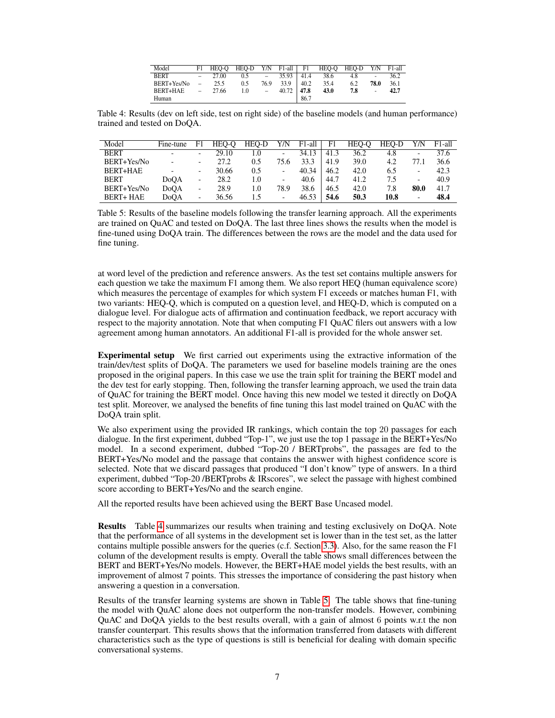| Model       | F1             | HEO-O | HEO-D |        |               |      | Y/N F1-all F1 HEO-O | HEO-D Y/N F1-all |                |      |
|-------------|----------------|-------|-------|--------|---------------|------|---------------------|------------------|----------------|------|
| <b>BERT</b> | $\sim$         | 27.00 | 0.5   | $\sim$ | $35.93 \perp$ | 41.4 | 38.6                | 4.8              | $\sim$         | 36.2 |
| BERT+Yes/No | $\overline{a}$ | 25.5  | 0.5   | 76.9   | 33.9          | 40.2 | 35.4                | 6.2              | 78.0           | 36.1 |
| BERT+HAE    | $\equiv$       | 27.66 | 1.0   | $\sim$ | 40.72         | 47.8 | 43.0                | 7.8              | $\overline{a}$ | 42.7 |
| Human       |                |       |       |        |               | 86.7 |                     |                  |                |      |

<span id="page-6-0"></span>Table 4: Results (dev on left side, test on right side) of the baseline models (and human performance) trained and tested on DoQA.

| Model            | Fine-tune                | F1                       | HEO-O | HEO-D  | Y/N                      | F1-all | F <sub>1</sub> | HEO-O | HEO-D | Y/N  | F1-all |
|------------------|--------------------------|--------------------------|-------|--------|--------------------------|--------|----------------|-------|-------|------|--------|
| <b>BERT</b>      | $\overline{\phantom{0}}$ | -                        | 29.10 | $\cup$ | -                        | 34.13  | 41.3           | 36.2  | 4.8   | -    | 37.6   |
| BERT+Yes/No      | $\overline{\phantom{a}}$ | $\overline{\phantom{a}}$ | 27.2  | 0.5    | 75.6                     | 33.3   | 41.9           | 39.0  | 4.2   | 77.1 | 36.6   |
| BERT+HAE         |                          | -                        | 30.66 | 0.5    | $\overline{\phantom{a}}$ | 40.34  | 46.2           | 42.0  | 6.5   | -    | 42.3   |
| <b>BERT</b>      | <b>DoOA</b>              | -                        | 28.2  | 1.0    | $\overline{\phantom{a}}$ | 40.6   | 44.7           | 41.2  | 7.5   | -    | 40.9   |
| BERT+Yes/No      | DoOA                     | -                        | 28.9  | 1.0    | 78.9                     | 38.6   | 46.5           | 42.0  | 7.8   | 80.0 | 41.7   |
| <b>BERT+ HAE</b> | DoOA                     | ۰                        | 36.56 | L.)    | $\overline{\phantom{a}}$ | 46.53  | 54.6           | 50.3  | 10.8  |      | 48.4   |

<span id="page-6-1"></span>Table 5: Results of the baseline models following the transfer learning approach. All the experiments are trained on QuAC and tested on DoQA. The last three lines shows the results when the model is fine-tuned using DoQA train. The differences between the rows are the model and the data used for fine tuning.

at word level of the prediction and reference answers. As the test set contains multiple answers for each question we take the maximum F1 among them. We also report HEQ (human equivalence score) which measures the percentage of examples for which system F1 exceeds or matches human F1, with two variants: HEQ-Q, which is computed on a question level, and HEQ-D, which is computed on a dialogue level. For dialogue acts of affirmation and continuation feedback, we report accuracy with respect to the majority annotation. Note that when computing F1 QuAC filers out answers with a low agreement among human annotators. An additional F1-all is provided for the whole answer set.

Experimental setup We first carried out experiments using the extractive information of the train/dev/test splits of DoQA. The parameters we used for baseline models training are the ones proposed in the original papers. In this case we use the train split for training the BERT model and the dev test for early stopping. Then, following the transfer learning approach, we used the train data of QuAC for training the BERT model. Once having this new model we tested it directly on DoQA test split. Moreover, we analysed the benefits of fine tuning this last model trained on QuAC with the DoQA train split.

We also experiment using the provided IR rankings, which contain the top 20 passages for each dialogue. In the first experiment, dubbed "Top-1", we just use the top 1 passage in the BERT+Yes/No model. In a second experiment, dubbed "Top-20 / BERTprobs", the passages are fed to the BERT+Yes/No model and the passage that contains the answer with highest confidence score is selected. Note that we discard passages that produced "I don't know" type of answers. In a third experiment, dubbed "Top-20 /BERTprobs & IRscores", we select the passage with highest combined score according to BERT+Yes/No and the search engine.

All the reported results have been achieved using the BERT Base Uncased model.

Results Table [4](#page-6-0) summarizes our results when training and testing exclusively on DoQA. Note that the performance of all systems in the development set is lower than in the test set, as the latter contains multiple possible answers for the queries (c.f. Section [3.3\)](#page-3-1). Also, for the same reason the F1 column of the development results is empty. Overall the table shows small differences between the BERT and BERT+Yes/No models. However, the BERT+HAE model yields the best results, with an improvement of almost 7 points. This stresses the importance of considering the past history when answering a question in a conversation.

Results of the transfer learning systems are shown in Table [5.](#page-6-1) The table shows that fine-tuning the model with QuAC alone does not outperform the non-transfer models. However, combining QuAC and DoQA yields to the best results overall, with a gain of almost 6 points w.r.t the non transfer counterpart. This results shows that the information transferred from datasets with different characteristics such as the type of questions is still is beneficial for dealing with domain specific conversational systems.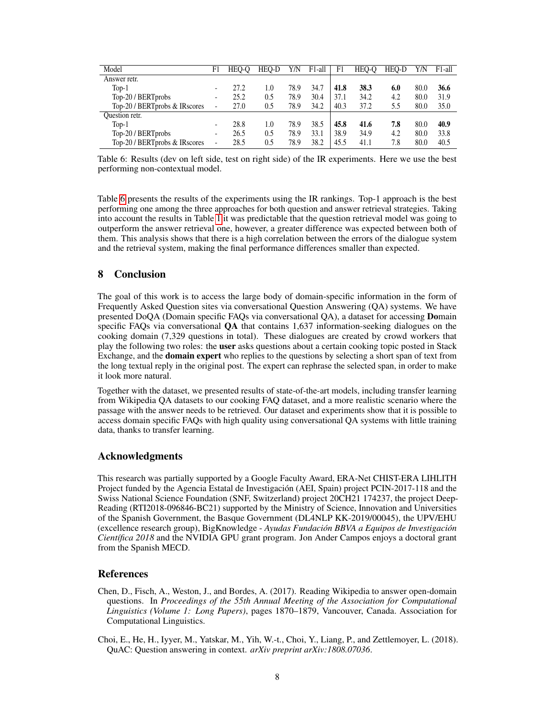| Model                         | F1 | HEO-O | HEO-D | Y/N  | F1-all | F1   | HEO-O | HEO-D | Y/N  | F <sub>1</sub> -all |
|-------------------------------|----|-------|-------|------|--------|------|-------|-------|------|---------------------|
| Answer retr.                  |    |       |       |      |        |      |       |       |      |                     |
| $Top-1$                       |    | 27.2  | 1.0   | 78.9 | 34.7   | 41.8 | 38.3  | 6.0   | 80.0 | 36.6                |
| Top-20 / BERTprobs            |    | 25.2  | 0.5   | 78.9 | 30.4   | 37.1 | 34.2  | 4.2   | 80.0 | 31.9                |
| Top-20 / BERTprobs & IRscores |    | 27.0  | 0.5   | 78.9 | 34.2   | 40.3 | 37.2  | 5.5   | 80.0 | 35.0                |
| Question retr.                |    |       |       |      |        |      |       |       |      |                     |
| $Top-1$                       |    | 28.8  | 1.0   | 78.9 | 38.5   | 45.8 | 41.6  | 7.8   | 80.0 | 40.9                |
| Top-20 / BERTprobs            |    | 26.5  | 0.5   | 78.9 | 33.1   | 38.9 | 34.9  | 4.2   | 80.0 | 33.8                |
| Top-20 / BERTprobs & IRscores |    | 28.5  | 0.5   | 78.9 | 38.2   | 45.5 | 41.1  | 7.8   | 80.0 | 40.5                |

<span id="page-7-2"></span>Table 6: Results (dev on left side, test on right side) of the IR experiments. Here we use the best performing non-contextual model.

Table [6](#page-7-2) presents the results of the experiments using the IR rankings. Top-1 approach is the best performing one among the three approaches for both question and answer retrieval strategies. Taking into account the results in Table [1](#page-3-0) it was predictable that the question retrieval model was going to outperform the answer retrieval one, however, a greater difference was expected between both of them. This analysis shows that there is a high correlation between the errors of the dialogue system and the retrieval system, making the final performance differences smaller than expected.

# 8 Conclusion

The goal of this work is to access the large body of domain-specific information in the form of Frequently Asked Question sites via conversational Question Answering (QA) systems. We have presented DoQA (Domain specific FAQs via conversational QA), a dataset for accessing Domain specific FAQs via conversational QA that contains 1,637 information-seeking dialogues on the cooking domain (7,329 questions in total). These dialogues are created by crowd workers that play the following two roles: the user asks questions about a certain cooking topic posted in Stack Exchange, and the **domain expert** who replies to the questions by selecting a short span of text from the long textual reply in the original post. The expert can rephrase the selected span, in order to make it look more natural.

Together with the dataset, we presented results of state-of-the-art models, including transfer learning from Wikipedia QA datasets to our cooking FAQ dataset, and a more realistic scenario where the passage with the answer needs to be retrieved. Our dataset and experiments show that it is possible to access domain specific FAQs with high quality using conversational QA systems with little training data, thanks to transfer learning.

# Acknowledgments

This research was partially supported by a Google Faculty Award, ERA-Net CHIST-ERA LIHLITH Project funded by the Agencia Estatal de Investigación (AEI, Spain) project PCIN-2017-118 and the Swiss National Science Foundation (SNF, Switzerland) project 20CH21 174237, the project Deep-Reading (RTI2018-096846-BC21) supported by the Ministry of Science, Innovation and Universities of the Spanish Government, the Basque Government (DL4NLP KK-2019/00045), the UPV/EHU (excellence research group), BigKnowledge - *Ayudas Fundación BBVA a Equipos de Investigación Científica 2018* and the NVIDIA GPU grant program. Jon Ander Campos enjoys a doctoral grant from the Spanish MECD.

#### References

- <span id="page-7-1"></span>Chen, D., Fisch, A., Weston, J., and Bordes, A. (2017). Reading Wikipedia to answer open-domain questions. In *Proceedings of the 55th Annual Meeting of the Association for Computational Linguistics (Volume 1: Long Papers)*, pages 1870–1879, Vancouver, Canada. Association for Computational Linguistics.
- <span id="page-7-0"></span>Choi, E., He, H., Iyyer, M., Yatskar, M., Yih, W.-t., Choi, Y., Liang, P., and Zettlemoyer, L. (2018). QuAC: Question answering in context. *arXiv preprint arXiv:1808.07036*.